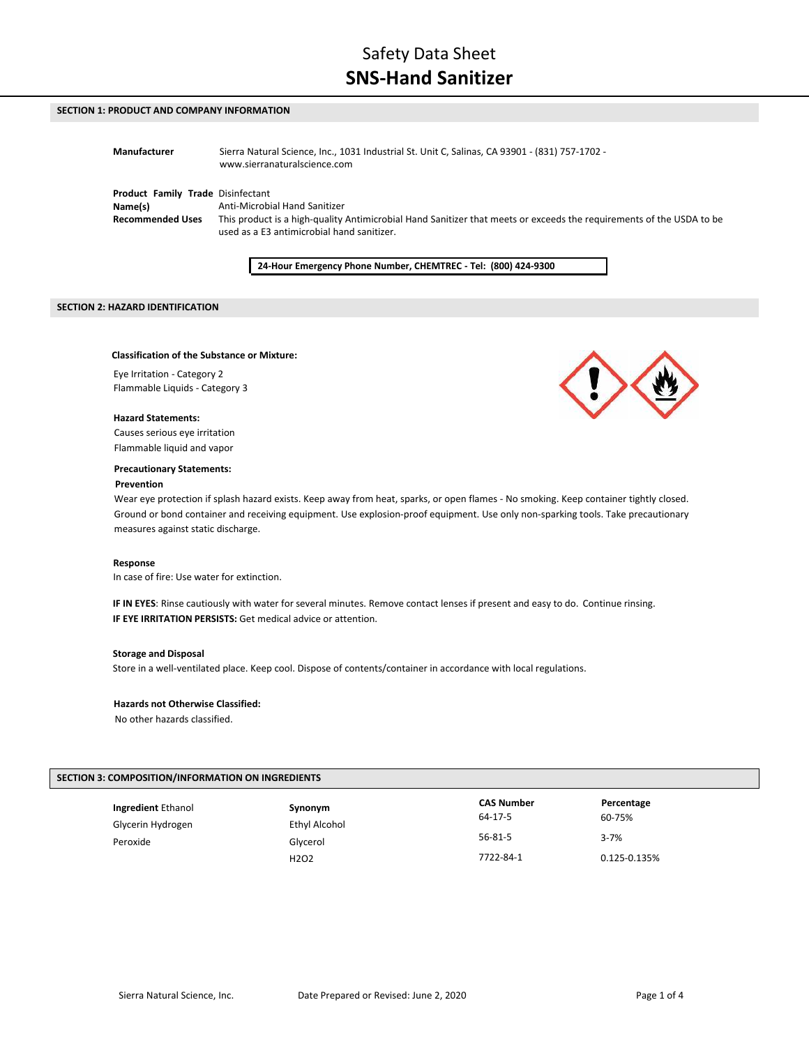# **SECTION 1: PRODUCT AND COMPANY INFORMATION**

| Manufacturer                      | Sierra Natural Science, Inc., 1031 Industrial St. Unit C, Salinas, CA 93901 - (831) 757-1702 -<br>www.sierranaturalscience.com |
|-----------------------------------|--------------------------------------------------------------------------------------------------------------------------------|
| Product Family Trade Disinfectant | Anti-Microbial Hand Sanitizer                                                                                                  |
| Name(s)                           | This product is a high-quality Antimicrobial Hand Sanitizer that meets or exceeds the requirements of the USDA to be           |
| <b>Recommended Uses</b>           | used as a E3 antimicrobial hand sanitizer.                                                                                     |

**24-Hour Emergency Phone Number, CHEMTREC - Tel: (800) 424-9300**

## **SECTION 2: HAZARD IDENTIFICATION**

### **Classification of the Substance or Mixture:**

Eye Irritation - Category 2 Flammable Liquids - Category 3

#### **Hazard Statements:**

Causes serious eye irritation Flammable liquid and vapor

#### **Precautionary Statements:**

#### **Prevention**

Wear eye protection if splash hazard exists. Keep away from heat, sparks, or open flames - No smoking. Keep container tightly closed. Ground or bond container and receiving equipment. Use explosion-proof equipment. Use only non-sparking tools. Take precautionary measures against static discharge.

#### **Response**

In case of fire: Use water for extinction.

**IF IN EYES**: Rinse cautiously with water for several minutes. Remove contact lenses if present and easy to do. Continue rinsing. **IF EYE IRRITATION PERSISTS:** Get medical advice or attention.

## **Storage and Disposal**

Store in a well-ventilated place. Keep cool. Dispose of contents/container in accordance with local regulations.

#### **Hazards not Otherwise Classified:**

No other hazards classified.

# **SECTION 3: COMPOSITION/INFORMATION ON INGREDIENTS**

| <b>Ingredient Ethanol</b><br>Glycerin Hydrogen | Synonym<br>Ethyl Alcohol      | <b>CAS Number</b><br>64-17-5 | Percentage<br>60-75% |
|------------------------------------------------|-------------------------------|------------------------------|----------------------|
| Peroxide                                       | Glycerol                      | $56 - 81 - 5$                | $3 - 7%$             |
|                                                | H <sub>2</sub> O <sub>2</sub> | 7722-84-1                    | 0.125-0.135%         |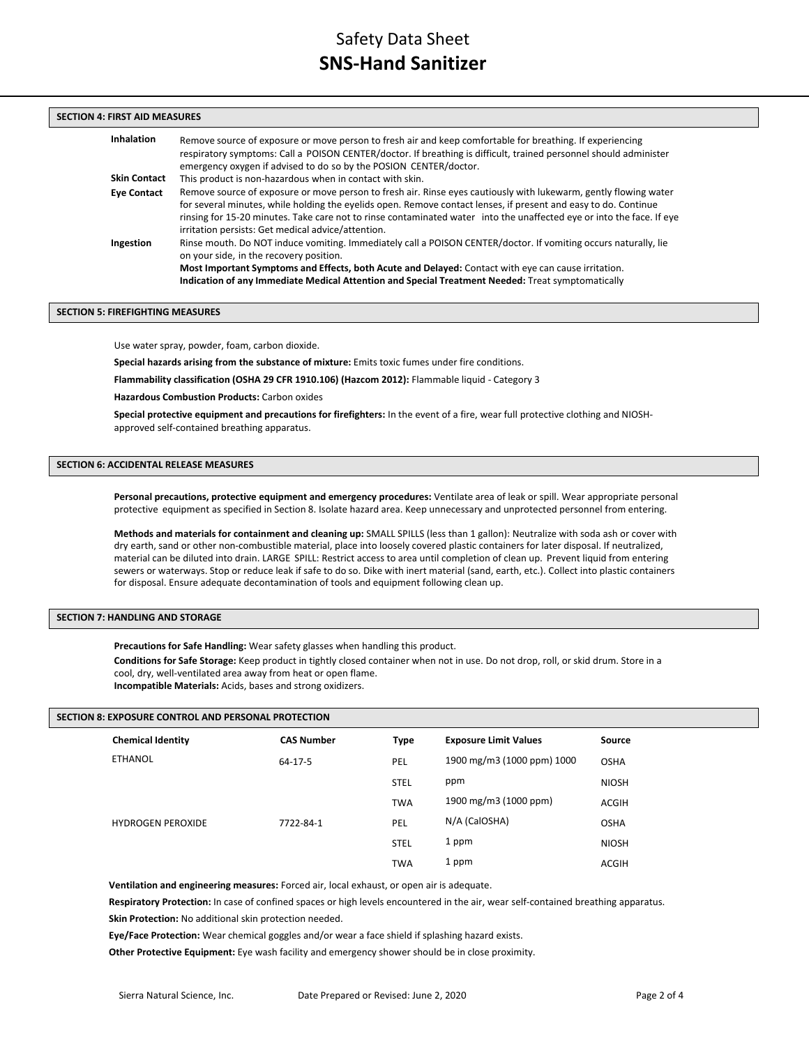# **SECTION 4: FIRST AID MEASURES**

| <b>Inhalation</b>   | Remove source of exposure or move person to fresh air and keep comfortable for breathing. If experiencing<br>respiratory symptoms: Call a POISON CENTER/doctor. If breathing is difficult, trained personnel should administer<br>emergency oxygen if advised to do so by the POSION CENTER/doctor.                                                                                                                |
|---------------------|--------------------------------------------------------------------------------------------------------------------------------------------------------------------------------------------------------------------------------------------------------------------------------------------------------------------------------------------------------------------------------------------------------------------|
| <b>Skin Contact</b> | This product is non-hazardous when in contact with skin.                                                                                                                                                                                                                                                                                                                                                           |
| <b>Eye Contact</b>  | Remove source of exposure or move person to fresh air. Rinse eyes cautiously with lukewarm, gently flowing water<br>for several minutes, while holding the eyelids open. Remove contact lenses, if present and easy to do. Continue<br>rinsing for 15-20 minutes. Take care not to rinse contaminated water into the unaffected eye or into the face. If eye<br>irritation persists: Get medical advice/attention. |
| Ingestion           | Rinse mouth. Do NOT induce vomiting. Immediately call a POISON CENTER/doctor. If vomiting occurs naturally, lie<br>on your side, in the recovery position.<br>Most Important Symptoms and Effects, both Acute and Delayed: Contact with eye can cause irritation.<br>Indication of any Immediate Medical Attention and Special Treatment Needed: Treat symptomatically                                             |

## **SECTION 5: FIREFIGHTING MEASURES**

Use water spray, powder, foam, carbon dioxide.

**Special hazards arising from the substance of mixture:** Emits toxic fumes under fire conditions.

**Flammability classification (OSHA 29 CFR 1910.106) (Hazcom 2012):** Flammable liquid - Category 3

**Hazardous Combustion Products:** Carbon oxides

**Special protective equipment and precautions for firefighters:** In the event of a fire, wear full protective clothing and NIOSHapproved self-contained breathing apparatus.

# **SECTION 6: ACCIDENTAL RELEASE MEASURES**

**Personal precautions, protective equipment and emergency procedures:** Ventilate area of leak or spill. Wear appropriate personal protective equipment as specified in Section 8. Isolate hazard area. Keep unnecessary and unprotected personnel from entering.

**Methods and materials for containment and cleaning up:** SMALL SPILLS (less than 1 gallon): Neutralize with soda ash or cover with dry earth, sand or other non-combustible material, place into loosely covered plastic containers for later disposal. If neutralized, material can be diluted into drain. LARGE SPILL: Restrict access to area until completion of clean up. Prevent liquid from entering sewers or waterways. Stop or reduce leak if safe to do so. Dike with inert material (sand, earth, etc.). Collect into plastic containers for disposal. Ensure adequate decontamination of tools and equipment following clean up.

# **SECTION 7: HANDLING AND STORAGE**

**Precautions for Safe Handling:** Wear safety glasses when handling this product.

**Conditions for Safe Storage:** Keep product in tightly closed container when not in use. Do not drop, roll, or skid drum. Store in a cool, dry, well-ventilated area away from heat or open flame. **Incompatible Materials:** Acids, bases and strong oxidizers.

### **SECTION 8: EXPOSURE CONTROL AND PERSONAL PROTECTION**

| <b>Chemical Identity</b> | <b>CAS Number</b> | <b>Type</b> | <b>Exposure Limit Values</b> | <b>Source</b> |
|--------------------------|-------------------|-------------|------------------------------|---------------|
| <b>ETHANOL</b>           | $64 - 17 - 5$     | <b>PEL</b>  | 1900 mg/m3 (1000 ppm) 1000   | <b>OSHA</b>   |
|                          |                   | <b>STEL</b> | ppm                          | <b>NIOSH</b>  |
|                          |                   | <b>TWA</b>  | 1900 mg/m3 (1000 ppm)        | ACGIH         |
| <b>HYDROGEN PEROXIDE</b> | 7722-84-1         | PEL         | N/A (CalOSHA)                | <b>OSHA</b>   |
|                          |                   | <b>STEL</b> | 1 ppm                        | <b>NIOSH</b>  |
|                          |                   | <b>TWA</b>  | 1 ppm                        | ACGIH         |
|                          |                   |             |                              |               |

**Ventilation and engineering measures:** Forced air, local exhaust, or open air is adequate.

**Respiratory Protection:** In case of confined spaces or high levels encountered in the air, wear self-contained breathing apparatus. **Skin Protection:** No additional skin protection needed.

**Eye/Face Protection:** Wear chemical goggles and/or wear a face shield if splashing hazard exists.

**Other Protective Equipment:** Eye wash facility and emergency shower should be in close proximity.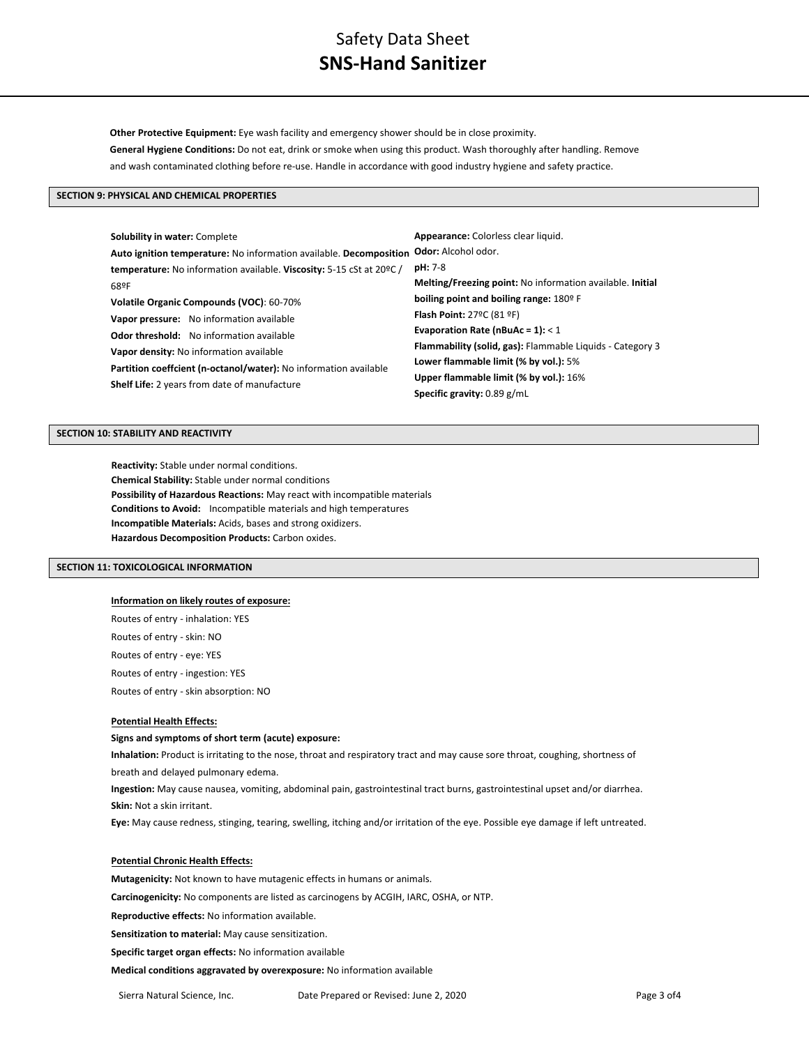# Safety Data Sheet **SNS-Hand Sanitizer**

**Other Protective Equipment:** Eye wash facility and emergency shower should be in close proximity. **General Hygiene Conditions:** Do not eat, drink or smoke when using this product. Wash thoroughly after handling. Remove and wash contaminated clothing before re-use. Handle in accordance with good industry hygiene and safety practice.

# **SECTION 9: PHYSICAL AND CHEMICAL PROPERTIES**

| <b>Solubility in water: Complete</b>                                 | Appearance: Colorless clear liquid.                       |  |
|----------------------------------------------------------------------|-----------------------------------------------------------|--|
| Auto ignition temperature: No information available. Decomposition   | <b>Odor:</b> Alcohol odor.                                |  |
| temperature: No information available. Viscosity: 5-15 cSt at 20°C / | <b>pH: 7-8</b>                                            |  |
| 68ºF                                                                 | Melting/Freezing point: No information available. Initial |  |
| Volatile Organic Compounds (VOC): 60-70%                             | boiling point and boiling range: 180° F                   |  |
| Vapor pressure: No information available                             | Flash Point: 27°C (81 °F)                                 |  |
| <b>Odor threshold:</b> No information available                      | Evaporation Rate (nBuAc = $1$ ): < 1                      |  |
| Vapor density: No information available                              | Flammability (solid, gas): Flammable Liquids - Category 3 |  |
| Partition coeffcient (n-octanol/water): No information available     | Lower flammable limit (% by vol.): 5%                     |  |
| <b>Shelf Life:</b> 2 years from date of manufacture                  | Upper flammable limit (% by vol.): 16%                    |  |
|                                                                      | Specific gravity: 0.89 g/mL                               |  |

# **SECTION 10: STABILITY AND REACTIVITY**

**Reactivity:** Stable under normal conditions. **Chemical Stability:** Stable under normal conditions **Possibility of Hazardous Reactions:** May react with incompatible materials **Conditions to Avoid:** Incompatible materials and high temperatures **Incompatible Materials:** Acids, bases and strong oxidizers. **Hazardous Decomposition Products:** Carbon oxides.

### **SECTION 11: TOXICOLOGICAL INFORMATION**

## **Information on likely routes of exposure:**

Routes of entry - inhalation: YES Routes of entry - skin: NO Routes of entry - eye: YES Routes of entry - ingestion: YES Routes of entry - skin absorption: NO

# **Potential Health Effects:**

## **Signs and symptoms of short term (acute) exposure:**

**Inhalation:** Product is irritating to the nose, throat and respiratory tract and may cause sore throat, coughing, shortness of breath and delayed pulmonary edema.

**Ingestion:** May cause nausea, vomiting, abdominal pain, gastrointestinal tract burns, gastrointestinal upset and/or diarrhea. **Skin:** Not a skin irritant.

**Eye:** May cause redness, stinging, tearing, swelling, itching and/or irritation of the eye. Possible eye damage if left untreated.

## **Potential Chronic Health Effects:**

**Mutagenicity:** Not known to have mutagenic effects in humans or animals.

**Carcinogenicity:** No components are listed as carcinogens by ACGIH, IARC, OSHA, or NTP.

**Reproductive effects:** No information available.

**Sensitization to material:** May cause sensitization.

**Specific target organ effects:** No information available

**Medical conditions aggravated by overexposure:** No information available